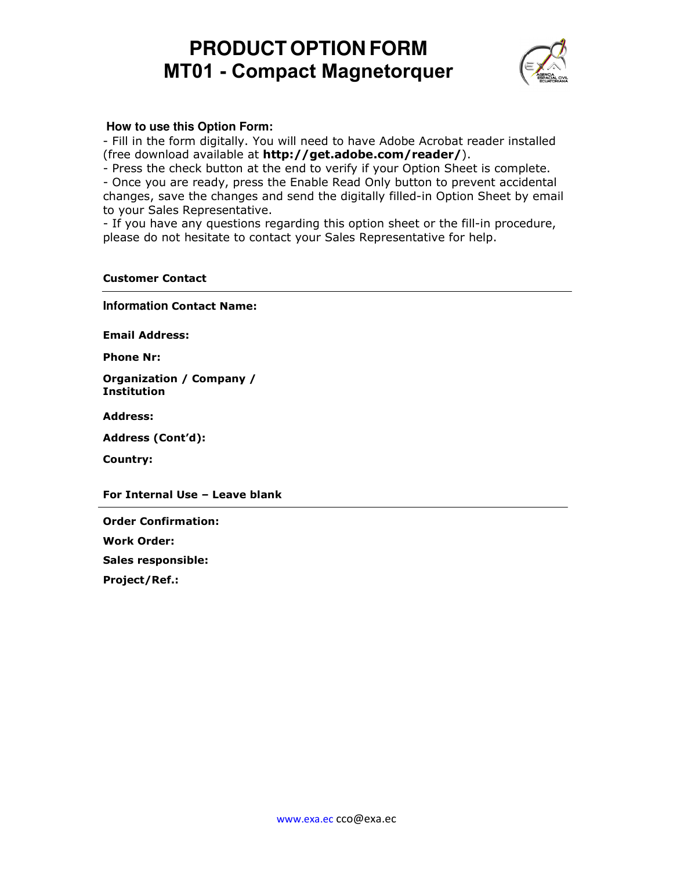# **PRODUCT OPTION FORM MT01 - Compact Magnetorquer**



## **How to use this Option Form:**

- Fill in the form digitally. You will need to have Adobe Acrobat reader installed (free download available at http://get.adobe.com/reader/).

- Press the check button at the end to verify if your Option Sheet is complete.

- Once you are ready, press the Enable Read Only button to prevent accidental changes, save the changes and send the digitally filled-in Option Sheet by email to your Sales Representative.

- If you have any questions regarding this option sheet or the fill-in procedure, please do not hesitate to contact your Sales Representative for help.

#### Customer Contact

**Information** Contact Name:

Email Address:

Phone Nr:

Organization / Company / Institution

Address:

Address (Cont'd):

Country:

For Internal Use – Leave blank

Order Confirmation:

Work Order:

Sales responsible:

Project/Ref.: